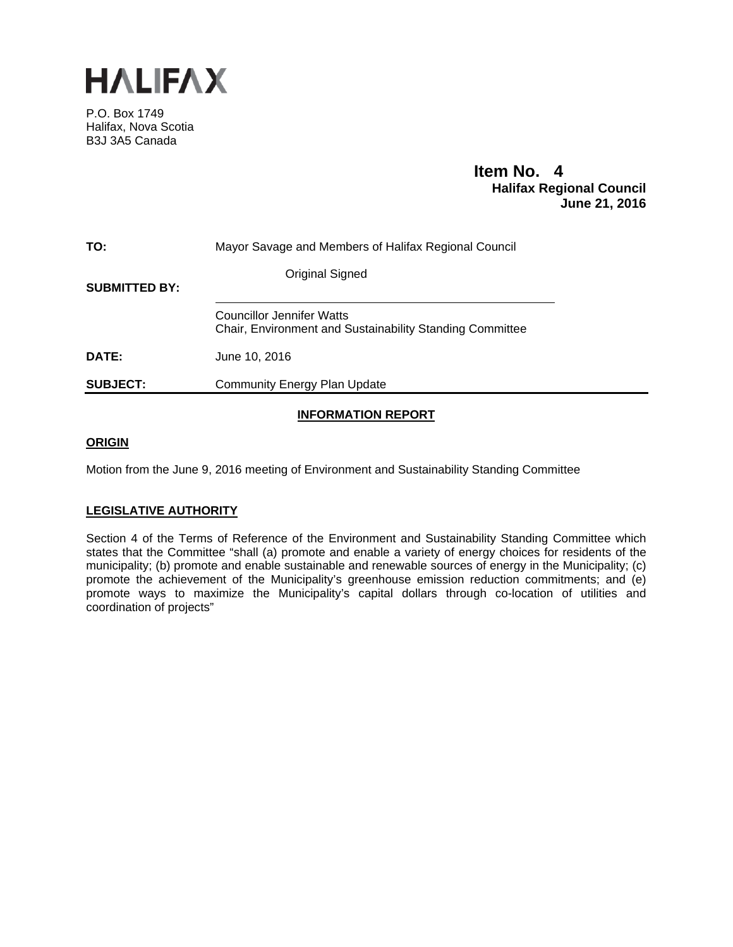

P.O. Box 1749 Halifax, Nova Scotia B3J 3A5 Canada

# **Item No. 4**<br>**Halifax Regional Council June 21, 2016**

| TO:                  | Mayor Savage and Members of Halifax Regional Council                                                |
|----------------------|-----------------------------------------------------------------------------------------------------|
| <b>SUBMITTED BY:</b> | Original Signed                                                                                     |
|                      | <b>Councillor Jennifer Watts</b><br><b>Chair, Environment and Sustainability Standing Committee</b> |
| DATE:                | June 10, 2016                                                                                       |
| <b>SUBJECT:</b>      | Community Energy Plan Update                                                                        |

# **INFORMATION REPORT**

# **ORIGIN**

Motion from the June 9, 2016 meeting of Environment and Sustainability Standing Committee

# **LEGISLATIVE AUTHORITY**

Section 4 of the Terms of Reference of the Environment and Sustainability Standing Committee which states that the Committee "shall (a) promote and enable a variety of energy choices for residents of the municipality; (b) promote and enable sustainable and renewable sources of energy in the Municipality; (c) promote the achievement of the Municipality's greenhouse emission reduction commitments; and (e) promote ways to maximize the Municipality's capital dollars through co-location of utilities and coordination of projects"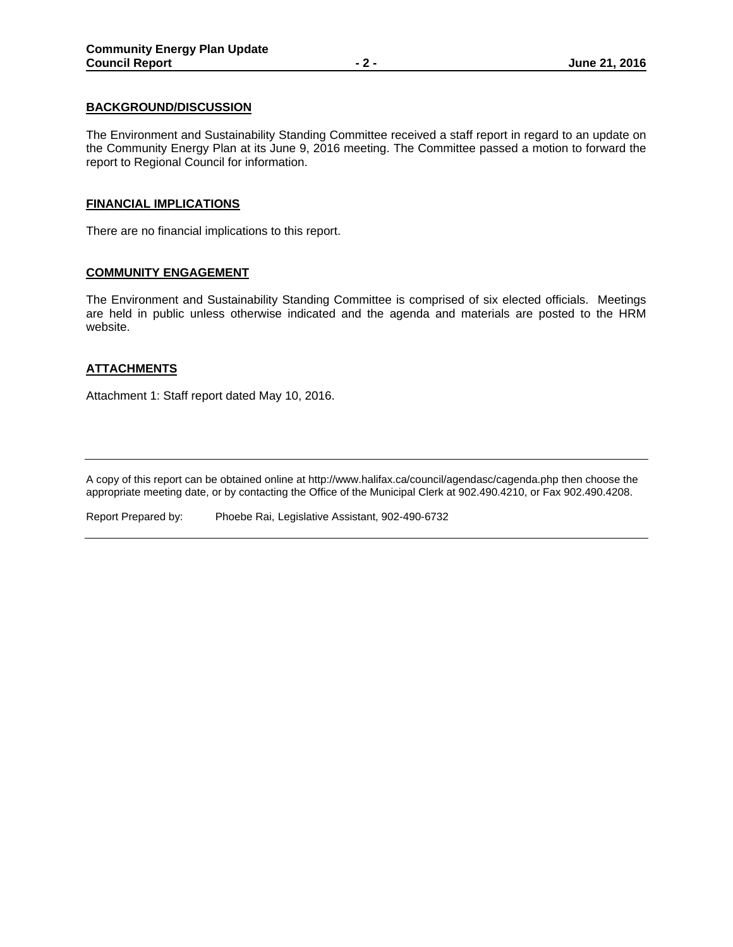## **BACKGROUND/DISCUSSION**

The Environment and Sustainability Standing Committee received a staff report in regard to an update on the Community Energy Plan at its June 9, 2016 meeting. The Committee passed a motion to forward the report to Regional Council for information.

# **FINANCIAL IMPLICATIONS**

There are no financial implications to this report.

# **COMMUNITY ENGAGEMENT**

The Environment and Sustainability Standing Committee is comprised of six elected officials. Meetings are held in public unless otherwise indicated and the agenda and materials are posted to the HRM website.

# **ATTACHMENTS**

Attachment 1: Staff report dated May 10, 2016.

A copy of this report can be obtained online at http://www.halifax.ca/council/agendasc/cagenda.php then choose the appropriate meeting date, or by contacting the Office of the Municipal Clerk at 902.490.4210, or Fax 902.490.4208.

Report Prepared by: Phoebe Rai, Legislative Assistant, 902-490-6732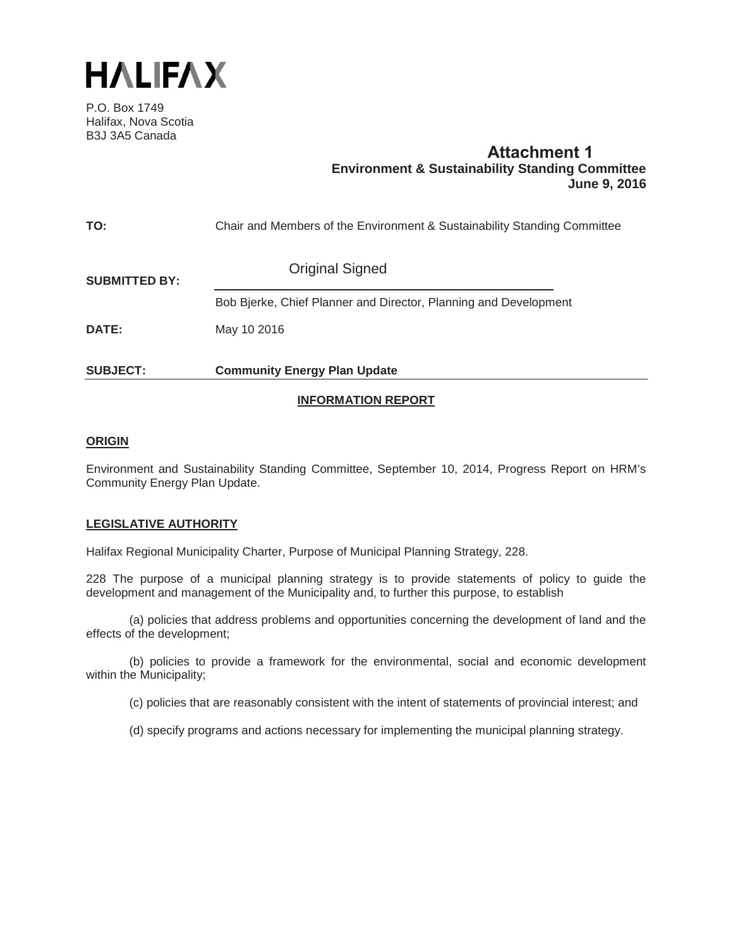

P.O. Box 1749 Halifax, Nova Scotia B3J 3A5 Canada

# **Attachment 1 Environment & Sustainability Standing Committee June 9, 2016**

| TO:                  | Chair and Members of the Environment & Sustainability Standing Committee |
|----------------------|--------------------------------------------------------------------------|
| <b>SUBMITTED BY:</b> | <b>Original Signed</b>                                                   |
|                      | Bob Bjerke, Chief Planner and Director, Planning and Development         |
| <b>DATE:</b>         | May 10 2016                                                              |
| <b>SUBJECT:</b>      | <b>Community Energy Plan Update</b>                                      |
|                      |                                                                          |

# **INFORMATION REPORT**

# **ORIGIN**

Environment and Sustainability Standing Committee, September 10, 2014, Progress Report on HRM's Community Energy Plan Update.

# **LEGISLATIVE AUTHORITY**

Halifax Regional Municipality Charter, Purpose of Municipal Planning Strategy, 228.

228 The purpose of a municipal planning strategy is to provide statements of policy to guide the development and management of the Municipality and, to further this purpose, to establish

(a) policies that address problems and opportunities concerning the development of land and the effects of the development;

(b) policies to provide a framework for the environmental, social and economic development within the Municipality;

(c) policies that are reasonably consistent with the intent of statements of provincial interest; and

(d) specify programs and actions necessary for implementing the municipal planning strategy.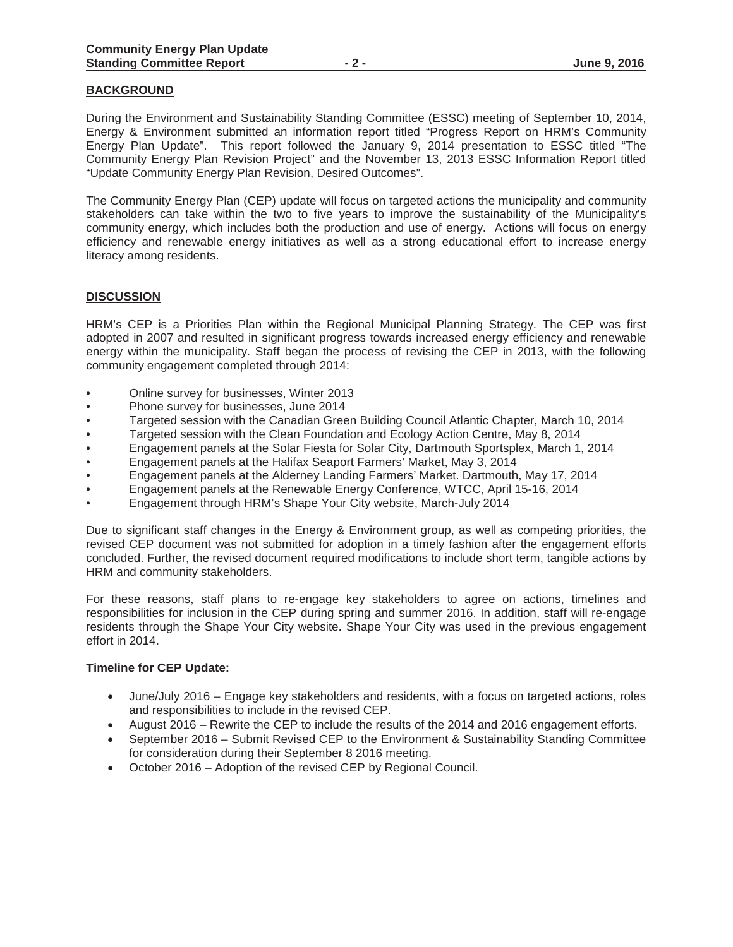#### **BACKGROUND**

During the Environment and Sustainability Standing Committee (ESSC) meeting of September 10, 2014, Energy & Environment submitted an information report titled "Progress Report on HRM's Community Energy Plan Update". This report followed the January 9, 2014 presentation to ESSC titled "The Community Energy Plan Revision Project" and the November 13, 2013 ESSC Information Report titled "Update Community Energy Plan Revision, Desired Outcomes".

The Community Energy Plan (CEP) update will focus on targeted actions the municipality and community stakeholders can take within the two to five years to improve the sustainability of the Municipality's community energy, which includes both the production and use of energy. Actions will focus on energy efficiency and renewable energy initiatives as well as a strong educational effort to increase energy literacy among residents.

## **DISCUSSION**

HRM's CEP is a Priorities Plan within the Regional Municipal Planning Strategy. The CEP was first adopted in 2007 and resulted in significant progress towards increased energy efficiency and renewable energy within the municipality. Staff began the process of revising the CEP in 2013, with the following community engagement completed through 2014:

- Online survey for businesses, Winter 2013
- Phone survey for businesses, June 2014
- Targeted session with the Canadian Green Building Council Atlantic Chapter, March 10, 2014
- Targeted session with the Clean Foundation and Ecology Action Centre, May 8, 2014
- Engagement panels at the Solar Fiesta for Solar City, Dartmouth Sportsplex, March 1, 2014
- Engagement panels at the Halifax Seaport Farmers' Market, May 3, 2014
- Engagement panels at the Alderney Landing Farmers' Market. Dartmouth, May 17, 2014
- Engagement panels at the Renewable Energy Conference, WTCC, April 15-16, 2014
- Engagement through HRM's Shape Your City website, March-July 2014

Due to significant staff changes in the Energy & Environment group, as well as competing priorities, the revised CEP document was not submitted for adoption in a timely fashion after the engagement efforts concluded. Further, the revised document required modifications to include short term, tangible actions by HRM and community stakeholders.

For these reasons, staff plans to re-engage key stakeholders to agree on actions, timelines and responsibilities for inclusion in the CEP during spring and summer 2016. In addition, staff will re-engage residents through the Shape Your City website. Shape Your City was used in the previous engagement effort in 2014.

#### **Timeline for CEP Update:**

- June/July 2016 Engage key stakeholders and residents, with a focus on targeted actions, roles and responsibilities to include in the revised CEP.
- August 2016 Rewrite the CEP to include the results of the 2014 and 2016 engagement efforts.
- September 2016 Submit Revised CEP to the Environment & Sustainability Standing Committee for consideration during their September 8 2016 meeting.
- October 2016 Adoption of the revised CEP by Regional Council.